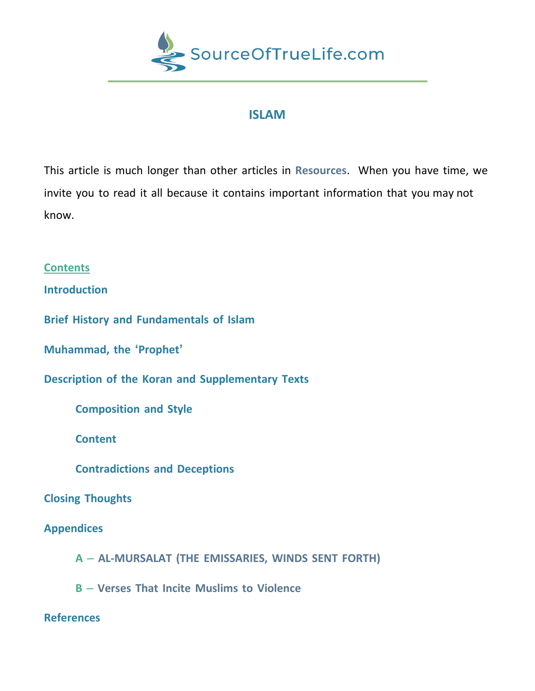

# **ISLAM**

This article is much longer than other articles in **Resources**. When you have time, we invite you to read it all because it contains important information that you may not know.

## **Contents**

**Introduction**

**Brief History and Fundamentals of Islam**

**Muhammad, the 'Prophet'**

**Description of the Koran and Supplementary Texts**

**Composition and Style**

**Content Content** 

**Contradictions and Deceptions**

## **Closing Thoughts**

## **Appendices**

**A** – **AL-MURSALAT (THE EMISSARIES, WINDS SENT FORTH)**

**B** – **Verses That Incite Muslims to Violence**

## **References**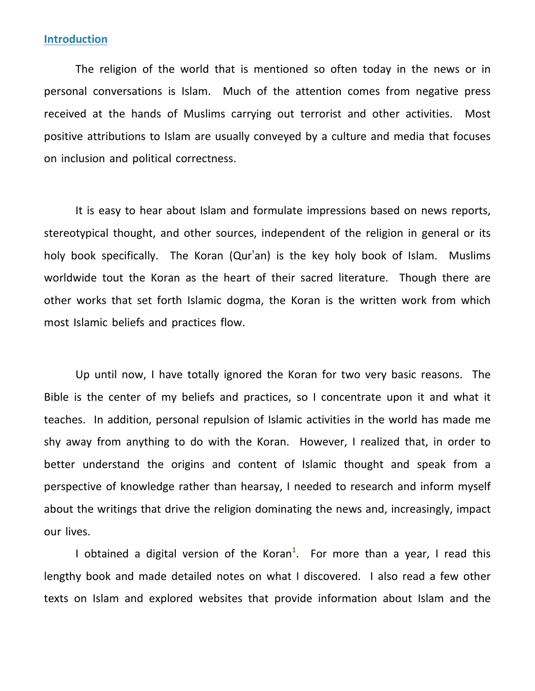### **Introduction**

The religion of the world that is mentioned so often today in the news or in personal conversations is Islam. Much of the attention comes from negative press received at the hands of Muslims carrying out terrorist and other activities. Most positive attributions to Islam are usually conveyed by a culture and media that focuses on inclusion and political correctness.

It is easy to hear about Islam and formulate impressions based on news reports, stereotypical thought, and other sources, independent of the religion in general or its holy book specifically. The Koran (Qur'an) is the key holy book of Islam. Muslims worldwide tout the Koran as the heart of their sacred literature. Though there are other works that set forth Islamic dogma, the Koran is the written work from which most Islamic beliefs and practices flow.

Up until now, I have totally ignored the Koran for two very basic reasons. The Bible is the center of my beliefs and practices, so I concentrate upon it and what it teaches. In addition, personal repulsion of Islamic activities in the world has made me shy away from anything to do with the Koran. However, I realized that, in order to better understand the origins and content of Islamic thought and speak from a perspective of knowledge rather than hearsay, I needed to research and inform myself about the writings that drive the religion dominating the news and, increasingly, impact our lives.

I obtained a digital version of the Koran**<sup>1</sup>** . For more than a year, I read this lengthy book and made detailed notes on what I discovered. I also read a few other texts on Islam and explored websites that provide information about Islam and the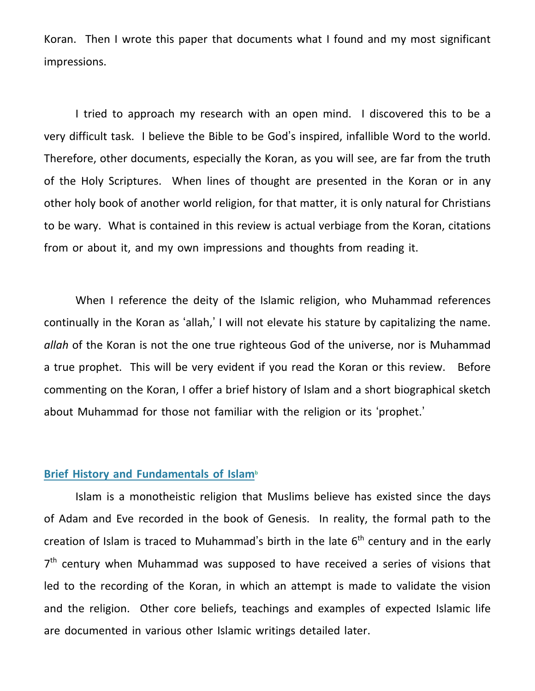Koran. Then I wrote this paper that documents what I found and my most significant impressions.

I tried to approach my research with an open mind. I discovered this to be a very difficult task. I believe the Bible to be God's inspired, infallible Word to the world. Therefore, other documents, especially the Koran, as you will see, are far from the truth of the Holy Scriptures. When lines of thought are presented in the Koran or in any other holy book of another world religion, for that matter, it is only natural for Christians to be wary. What is contained in this review is actual verbiage from the Koran, citations from or about it, and my own impressions and thoughts from reading it.

When I reference the deity of the Islamic religion, who Muhammad references continually in the Koran as 'allah,' I will not elevate his stature by capitalizing the name. *allah* of the Koran is not the one true righteous God of the universe, nor is Muhammad a true prophet. This will be very evident if you read the Koran or this review. Before commenting on the Koran, I offer a brief history of Islam and a short biographical sketch about Muhammad for those not familiar with the religion or its 'prophet.'

### **Brief History and Fundamentals of Islam<sup>b</sup>**

Islam is a monotheistic religion that Muslims believe has existed since the days of Adam and Eve recorded in the book of Genesis. In reality, the formal path to the creation of Islam is traced to Muhammad's birth in the late 6<sup>th</sup> century and in the early 7<sup>th</sup> century when Muhammad was supposed to have received a series of visions that led to the recording of the Koran, in which an attempt is made to validate the vision and the religion. Other core beliefs, teachings and examples of expected Islamic life are documented in various other Islamic writings detailed later.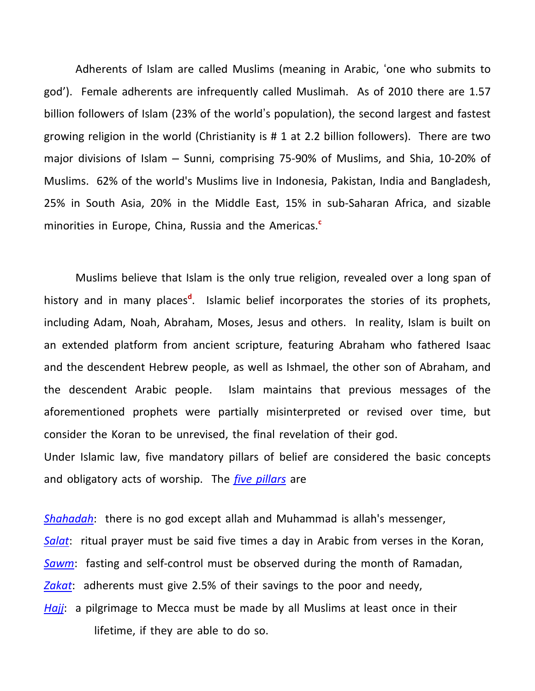Adherents of Islam are called Muslims (meaning in Arabic, 'one who submits to god'). Female adherents are infrequently called Muslimah. As of 2010 there are 1.57 billion followers of Islam (23% of the world's population), the second largest and fastest growing religion in the world (Christianity is # 1 at 2.2 billion followers). There are two major divisions of Islam – Sunni, comprising 75-90% of Muslims, and Shia, 10-20% of Muslims. 62% of the world's Muslims live in Indonesia, Pakistan, India and Bangladesh, 25% in South Asia, 20% in the Middle East, 15% in sub-Saharan Africa, and sizable minorities in Europe, China, Russia and the Americas.**<sup>c</sup>**

Muslims believe that Islam is the only true religion, revealed over a long span of history and in many places<sup>d</sup>. Islamic belief incorporates the stories of its prophets, including Adam, Noah, Abraham, Moses, Jesus and others. In reality, Islam is built on an extended platform from ancient scripture, featuring Abraham who fathered Isaac and the descendent Hebrew people, as well as Ishmael, the other son of Abraham, and the descendent Arabic people. Islam maintains that previous messages of the aforementioned prophets were partially misinterpreted or revised over time, but consider the Koran to be unrevised, the final revelation of their god. Under Islamic law, five mandatory pillars of belief are considered the basic concepts

and obligatory acts of worship. The *five pillars* are

*[Shahadah](http://en.wikipedia.org/wiki/Shahadah)*: there is no god except allah and Muhammad is allah's messenger, *[Salat](http://en.wikipedia.org/wiki/Salat)*: ritual prayer must be said five times a day in Arabic from verses in the Koran, *[Sawm](http://en.wikipedia.org/wiki/Sawm)*: fasting and self-control must be observed during the month of Ramadan, *[Zakat](http://en.wikipedia.org/wiki/Zakat)*: adherents must give 2.5% of their savings to the poor and needy, *[Hajj](http://en.wikipedia.org/wiki/Hajj)*: a pilgrimage to Mecca must be made by all Muslims at least once in their lifetime, if they are able to do so.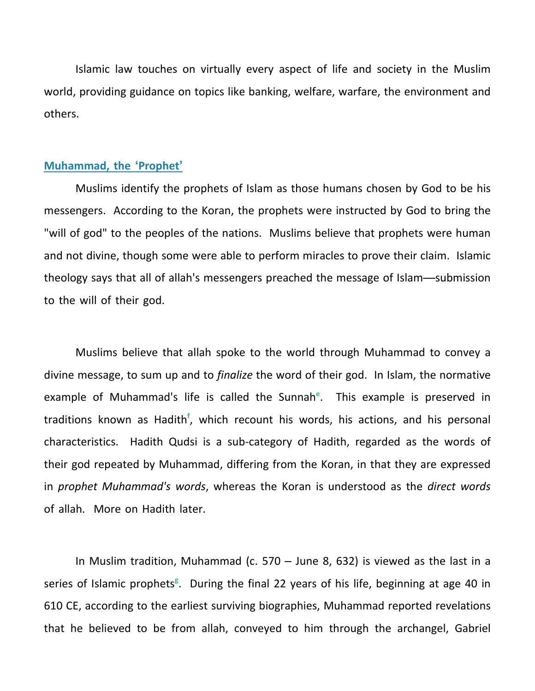Islamic law touches on virtually every aspect of life and society in the Muslim world, providing guidance on topics like banking, welfare, warfare, the environment and others.

#### **Muhammad, the 'Prophet'**

Muslims identify the prophets of Islam as those humans chosen by God to be his messengers. According to the Koran, the prophets were instructed by God to bring the "will of god" to the peoples of the nations. Muslims believe that prophets were human and not divine, though some were able to perform miracles to prove their claim. Islamic theology says that all of allah's messengers preached the message of Islam—submission to the will of their god.

Muslims believe that allah spoke to the world through Muhammad to convey a divine message, to sum up and to *finalize* the word of their god. In Islam, the normative example of Muhammad's life is called the Sunnah<sup>e</sup>. This example is preserved in traditions known as Hadith**<sup>f</sup>** , which recount his words, his actions, and his personal characteristics. Hadith Qudsi is a sub-category of Hadith, regarded as the words of their god repeated by Muhammad, differing from the Koran, in that they are expressed in *prophet Muhammad's words*, whereas the Koran is understood as the *direct words* of allah. More on Hadith later.

In Muslim tradition, Muhammad (c. 570 – June 8, 632) is viewed as the last in a series of Islamic prophets<sup>g</sup>. During the final 22 years of his life, beginning at age 40 in 610 CE, according to the earliest surviving biographies, Muhammad reported revelations that he believed to be from allah, conveyed to him through the archangel, Gabriel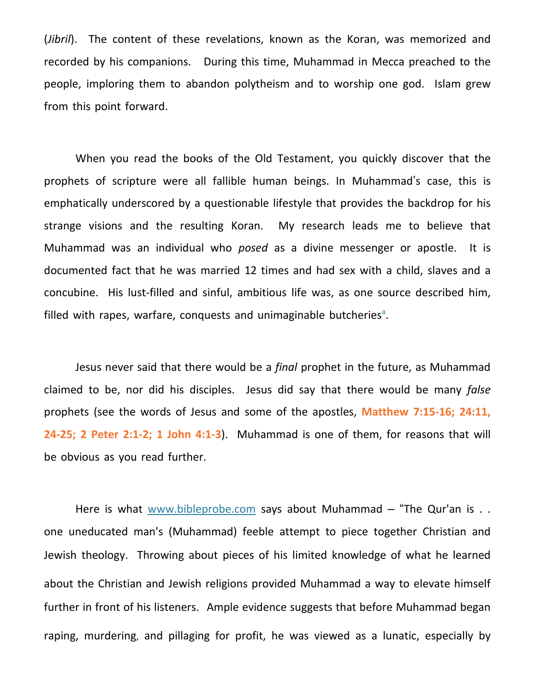(*Jibril*). The content of these revelations, known as the Koran, was memorized and recorded by his companions. During this time, Muhammad in Mecca preached to the people, imploring them to abandon polytheism and to worship one god. Islam grew from this point forward.

When you read the books of the Old Testament, you quickly discover that the prophets of scripture were all fallible human beings. In Muhammad's case, this is emphatically underscored by a questionable lifestyle that provides the backdrop for his strange visions and the resulting Koran. My research leads me to believe that Muhammad was an individual who *posed* as a divine messenger or apostle. It is documented fact that he was married 12 times and had sex with a child, slaves and a concubine. His lust-filled and sinful, ambitious life was, as one source described him, filled with rapes, warfare, conquests and unimaginable butcheries<sup>a</sup>.

Jesus never said that there would be a *final* prophet in the future, as Muhammad claimed to be, nor did his disciples. Jesus did say that there would be many *false* prophets (see the words of Jesus and some of the apostles, **Matthew 7:15-16; 24:11, 24-25; 2 Peter 2:1-2; 1 John 4:1-3**). Muhammad is one of them, for reasons that will be obvious as you read further.

Here is what [www.bibleprobe.com](http://www.bibleprobe.com/) says about Muhammad – "The Qur'an is . . one uneducated man's (Muhammad) feeble attempt to piece together Christian and Jewish theology. Throwing about pieces of his limited knowledge of what he learned about the Christian and Jewish religions provided Muhammad a way to elevate himself further in front of his listeners. Ample evidence suggests that before Muhammad began raping, murdering, and pillaging for profit, he was viewed as a lunatic, especially by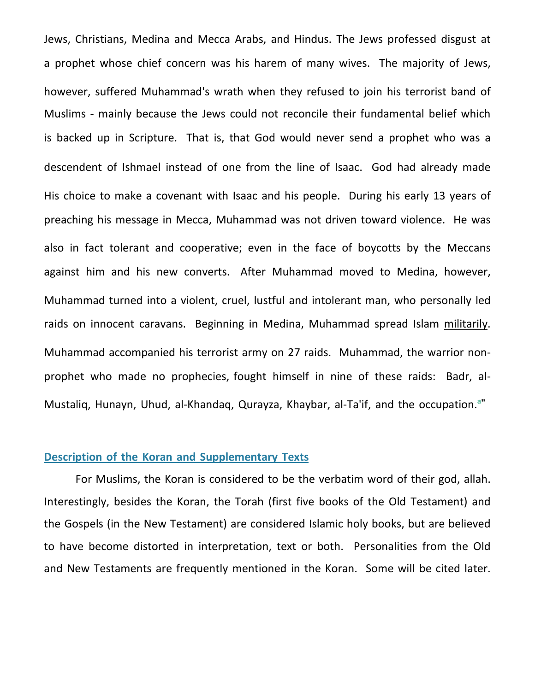Jews, Christians, Medina and Mecca Arabs, and Hindus. The Jews professed disgust at a prophet whose chief concern was his harem of many wives. The majority of Jews, however, suffered Muhammad's wrath when they refused to join his terrorist band of Muslims - mainly because the Jews could not reconcile their fundamental belief which is backed up in Scripture. That is, that God would never send a prophet who was a descendent of Ishmael instead of one from the line of Isaac. God had already made His choice to make a covenant with Isaac and his people. During his early 13 years of preaching his message in Mecca, Muhammad was not driven toward violence. He was also in fact tolerant and cooperative; even in the face of boycotts by the Meccans against him and his new converts. After Muhammad moved to Medina, however, Muhammad turned into a violent, cruel, lustful and intolerant man, who personally led raids on innocent caravans. Beginning in Medina, Muhammad spread Islam militarily. Muhammad accompanied his terrorist army on 27 raids. Muhammad, the warrior nonprophet who made no prophecies, fought himself in nine of these raids: Badr, al-Mustaliq, Hunayn, Uhud, al-Khandaq, Qurayza, Khaybar, al-Ta'if, and the occupation.**<sup>a</sup>** "

## **Description of the Koran and Supplementary Texts**

For Muslims, the Koran is considered to be the verbatim word of their god, allah. Interestingly, besides the Koran, the Torah (first five books of the Old Testament) and the Gospels (in the New Testament) are considered Islamic holy books, but are believed to have become distorted in interpretation, text or both. Personalities from the Old and New Testaments are frequently mentioned in the Koran. Some will be cited later.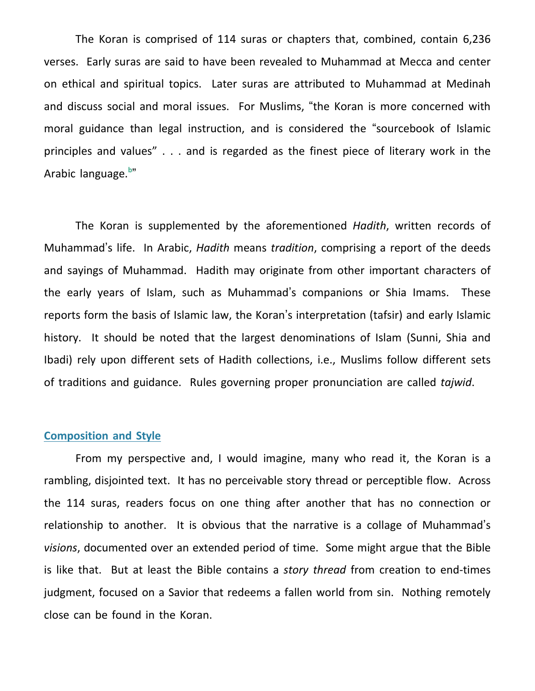The Koran is comprised of 114 suras or chapters that, combined, contain 6,236 verses. Early suras are said to have been revealed to Muhammad at Mecca and center on ethical and spiritual topics. Later suras are attributed to Muhammad at Medinah and discuss social and moral issues. For Muslims, "the Koran is more concerned with moral guidance than legal instruction, and is considered the "sourcebook of Islamic principles and values" . . . and is regarded as the finest piece of literary work in the Arabic language. **b** "

The Koran is supplemented by the aforementioned *Hadith*, written records of Muhammad's life. In Arabic, *Hadith* means *tradition*, comprising a report of the deeds and sayings of Muhammad. Hadith may originate from other important characters of the early years of Islam, such as Muhammad's companions or Shia Imams. These reports form the basis of Islamic law, the Koran's interpretation (tafsir) and early Islamic history. It should be noted that the largest denominations of Islam (Sunni, Shia and Ibadi) rely upon different sets of Hadith collections, i.e., Muslims follow different sets of traditions and guidance. Rules governing proper pronunciation are called *tajwid*.

#### **Composition and Style**

From my perspective and, I would imagine, many who read it, the Koran is a rambling, disjointed text. It has no perceivable story thread or perceptible flow. Across the 114 suras, readers focus on one thing after another that has no connection or relationship to another. It is obvious that the narrative is a collage of Muhammad's *visions*, documented over an extended period of time. Some might argue that the Bible is like that. But at least the Bible contains a *story thread* from creation to end-times judgment, focused on a Savior that redeems a fallen world from sin. Nothing remotely close can be found in the Koran.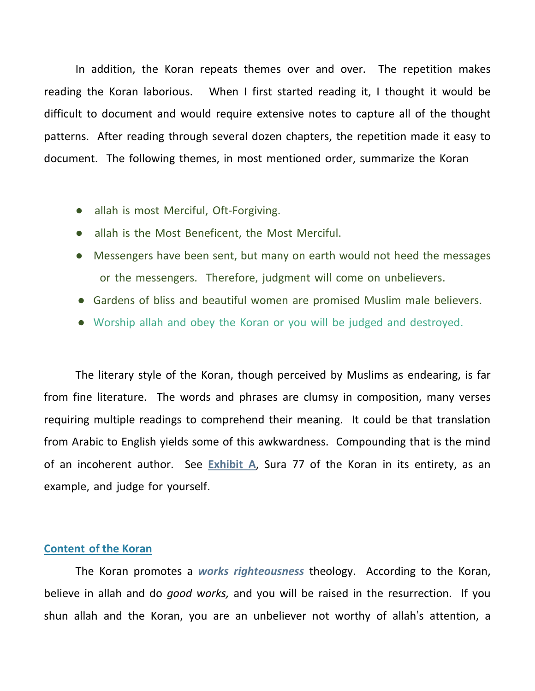In addition, the Koran repeats themes over and over. The repetition makes reading the Koran laborious. When I first started reading it, I thought it would be difficult to document and would require extensive notes to capture all of the thought patterns. After reading through several dozen chapters, the repetition made it easy to document. The following themes, in most mentioned order, summarize the Koran

- allah is most Merciful, Oft-Forgiving.
- allah is the Most Beneficent, the Most Merciful.
- Messengers have been sent, but many on earth would not heed the messages or the messengers. Therefore, judgment will come on unbelievers.
- Gardens of bliss and beautiful women are promised Muslim male believers.
- Worship allah and obey the Koran or you will be judged and destroyed.

The literary style of the Koran, though perceived by Muslims as endearing, is far from fine literature. The words and phrases are clumsy in composition, many verses requiring multiple readings to comprehend their meaning. It could be that translation from Arabic to English yields some of this awkwardness. Compounding that is the mind of an incoherent author. See **Exhibit A**, Sura 77 of the Koran in its entirety, as an example, and judge for yourself.

### **Content of the Koran**

The Koran promotes a *works righteousness* theology. According to the Koran, believe in allah and do *good works,* and you will be raised in the resurrection. If you shun allah and the Koran, you are an unbeliever not worthy of allah's attention, a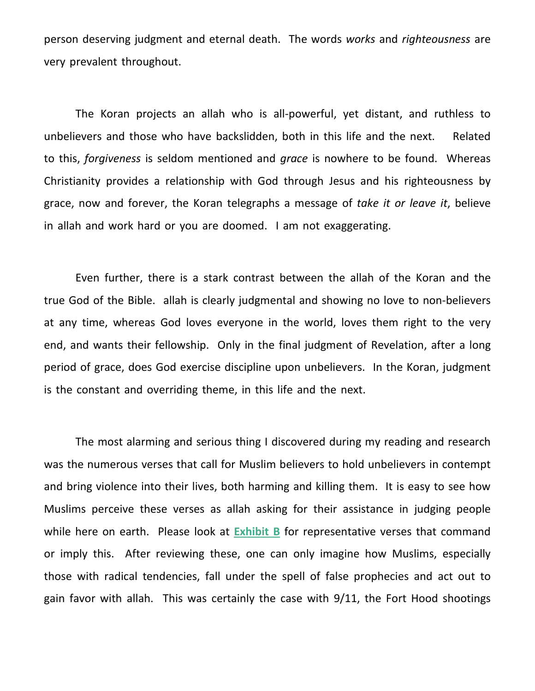person deserving judgment and eternal death. The words *works* and *righteousness* are very prevalent throughout.

The Koran projects an allah who is all-powerful, yet distant, and ruthless to unbelievers and those who have backslidden, both in this life and the next. Related to this, *forgiveness* is seldom mentioned and *grace* is nowhere to be found. Whereas Christianity provides a relationship with God through Jesus and his righteousness by grace, now and forever, the Koran telegraphs a message of *take it or leave it*, believe in allah and work hard or you are doomed. I am not exaggerating.

Even further, there is a stark contrast between the allah of the Koran and the true God of the Bible. allah is clearly judgmental and showing no love to non-believers at any time, whereas God loves everyone in the world, loves them right to the very end, and wants their fellowship. Only in the final judgment of Revelation, after a long period of grace, does God exercise discipline upon unbelievers. In the Koran, judgment is the constant and overriding theme, in this life and the next.

The most alarming and serious thing I discovered during my reading and research was the numerous verses that call for Muslim believers to hold unbelievers in contempt and bring violence into their lives, both harming and killing them. It is easy to see how Muslims perceive these verses as allah asking for their assistance in judging people while here on earth. Please look at **Exhibit B** for representative verses that command or imply this. After reviewing these, one can only imagine how Muslims, especially those with radical tendencies, fall under the spell of false prophecies and act out to gain favor with allah. This was certainly the case with 9/11, the Fort Hood shootings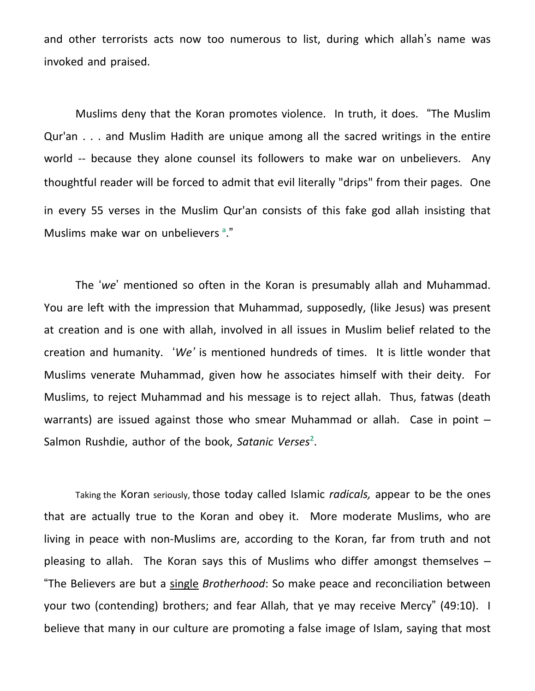and other terrorists acts now too numerous to list, during which allah's name was invoked and praised.

Muslims deny that the Koran promotes violence. In truth, it does. "The Muslim Qur'an . . . and Muslim Hadith are unique among all the sacred writings in the entire world -- because they alone counsel its followers to make war on unbelievers. Any thoughtful reader will be forced to admit that evil literally "drips" from their pages. One in every 55 verses in the Muslim Qur'an consists of this fake god allah insisting that Muslims make war on unbelievers **<sup>a</sup>** ."

The '*we*' mentioned so often in the Koran is presumably allah and Muhammad. You are left with the impression that Muhammad, supposedly, (like Jesus) was present at creation and is one with allah, involved in all issues in Muslim belief related to the creation and humanity. '*We'* is mentioned hundreds of times. It is little wonder that Muslims venerate Muhammad, given how he associates himself with their deity. For Muslims, to reject Muhammad and his message is to reject allah. Thus, fatwas (death warrants) are issued against those who smear Muhammad or allah. Case in point -Salmon Rushdie, author of the book, Satanic Verses<sup>2</sup>.

Taking the Koran seriously, those today called Islamic *radicals,* appear to be the ones that are actually true to the Koran and obey it. More moderate Muslims, who are living in peace with non-Muslims are, according to the Koran, far from truth and not pleasing to allah. The Koran says this of Muslims who differ amongst themselves – "The Believers are but a single *Brotherhood*: So make peace and reconciliation between your two (contending) brothers; and fear Allah, that ye may receive Mercy" (49:10). I believe that many in our culture are promoting a false image of Islam, saying that most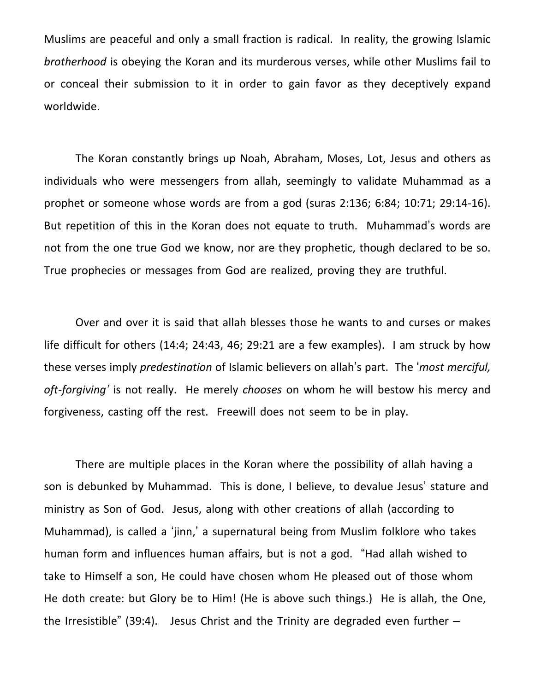Muslims are peaceful and only a small fraction is radical. In reality, the growing Islamic *brotherhood* is obeying the Koran and its murderous verses, while other Muslims fail to or conceal their submission to it in order to gain favor as they deceptively expand worldwide.

The Koran constantly brings up Noah, Abraham, Moses, Lot, Jesus and others as individuals who were messengers from allah, seemingly to validate Muhammad as a prophet or someone whose words are from a god (suras 2:136; 6:84; 10:71; 29:14-16). But repetition of this in the Koran does not equate to truth. Muhammad's words are not from the one true God we know, nor are they prophetic, though declared to be so. True prophecies or messages from God are realized, proving they are truthful.

Over and over it is said that allah blesses those he wants to and curses or makes life difficult for others (14:4; 24:43, 46; 29:21 are a few examples). I am struck by how these verses imply *predestination* of Islamic believers on allah's part. The '*most merciful, oft-forgiving'* is not really. He merely *chooses* on whom he will bestow his mercy and forgiveness, casting off the rest. Freewill does not seem to be in play.

There are multiple places in the Koran where the possibility of allah having a son is debunked by Muhammad. This is done, I believe, to devalue Jesus' stature and ministry as Son of God. Jesus, along with other creations of allah (according to Muhammad), is called a 'jinn,' a supernatural being from Muslim folklore who takes human form and influences human affairs, but is not a god. "Had allah wished to take to Himself a son, He could have chosen whom He pleased out of those whom He doth create: but Glory be to Him! (He is above such things.) He is allah, the One, the Irresistible" (39:4). Jesus Christ and the Trinity are degraded even further  $-$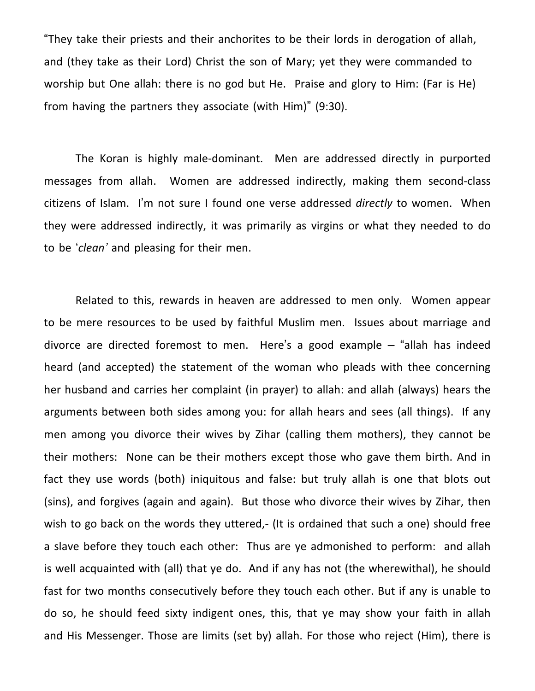"They take their priests and their anchorites to be their lords in derogation of allah, and (they take as their Lord) Christ the son of Mary; yet they were commanded to worship but One allah: there is no god but He. Praise and glory to Him: (Far is He) from having the partners they associate (with Him)" (9:30).

The Koran is highly male-dominant. Men are addressed directly in purported messages from allah. Women are addressed indirectly, making them second-class citizens of Islam. I'm not sure I found one verse addressed *directly* to women. When they were addressed indirectly, it was primarily as virgins or what they needed to do to be '*clean'* and pleasing for their men.

Related to this, rewards in heaven are addressed to men only. Women appear to be mere resources to be used by faithful Muslim men. Issues about marriage and divorce are directed foremost to men. Here's a good example – "allah has indeed heard (and accepted) the statement of the woman who pleads with thee concerning her husband and carries her complaint (in prayer) to allah: and allah (always) hears the arguments between both sides among you: for allah hears and sees (all things). If any men among you divorce their wives by Zihar (calling them mothers), they cannot be their mothers: None can be their mothers except those who gave them birth. And in fact they use words (both) iniquitous and false: but truly allah is one that blots out (sins), and forgives (again and again). But those who divorce their wives by Zihar, then wish to go back on the words they uttered,- (It is ordained that such a one) should free a slave before they touch each other: Thus are ye admonished to perform: and allah is well acquainted with (all) that ye do. And if any has not (the wherewithal), he should fast for two months consecutively before they touch each other. But if any is unable to do so, he should feed sixty indigent ones, this, that ye may show your faith in allah and His Messenger. Those are limits (set by) allah. For those who reject (Him), there is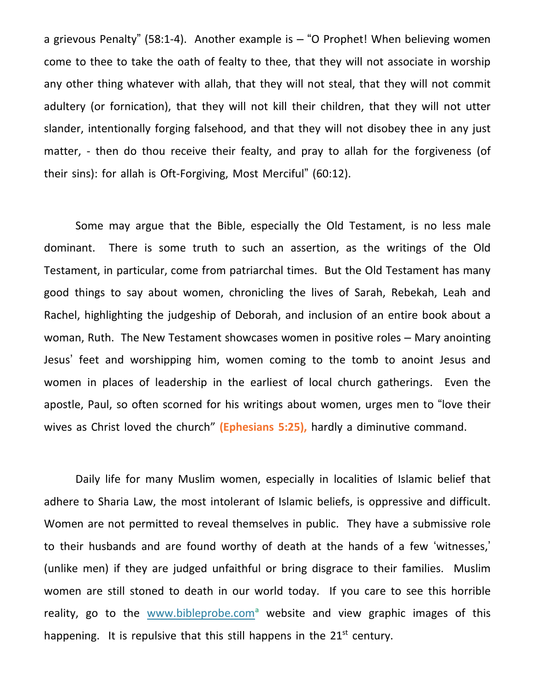a grievous Penalty" (58:1-4). Another example is  $-$  "O Prophet! When believing women come to thee to take the oath of fealty to thee, that they will not associate in worship any other thing whatever with allah, that they will not steal, that they will not commit adultery (or fornication), that they will not kill their children, that they will not utter slander, intentionally forging falsehood, and that they will not disobey thee in any just matter, - then do thou receive their fealty, and pray to allah for the forgiveness (of their sins): for allah is Oft-Forgiving, Most Merciful" (60:12).

Some may argue that the Bible, especially the Old Testament, is no less male dominant. There is some truth to such an assertion, as the writings of the Old Testament, in particular, come from patriarchal times. But the Old Testament has many good things to say about women, chronicling the lives of Sarah, Rebekah, Leah and Rachel, highlighting the judgeship of Deborah, and inclusion of an entire book about a woman, Ruth. The New Testament showcases women in positive roles – Mary anointing Jesus' feet and worshipping him, women coming to the tomb to anoint Jesus and women in places of leadership in the earliest of local church gatherings. Even the apostle, Paul, so often scorned for his writings about women, urges men to "love their wives as Christ loved the church" **(Ephesians 5:25),** hardly a diminutive command.

Daily life for many Muslim women, especially in localities of Islamic belief that adhere to Sharia Law, the most intolerant of Islamic beliefs, is oppressive and difficult. Women are not permitted to reveal themselves in public. They have a submissive role to their husbands and are found worthy of death at the hands of a few 'witnesses,' (unlike men) if they are judged unfaithful or bring disgrace to their families. Muslim women are still stoned to death in our world today. If you care to see this horrible reality, go to the [www.bibleprobe.com](http://www.bibleprobe.com/)**<sup>a</sup>** website and view graphic images of this happening. It is repulsive that this still happens in the  $21^{st}$  century.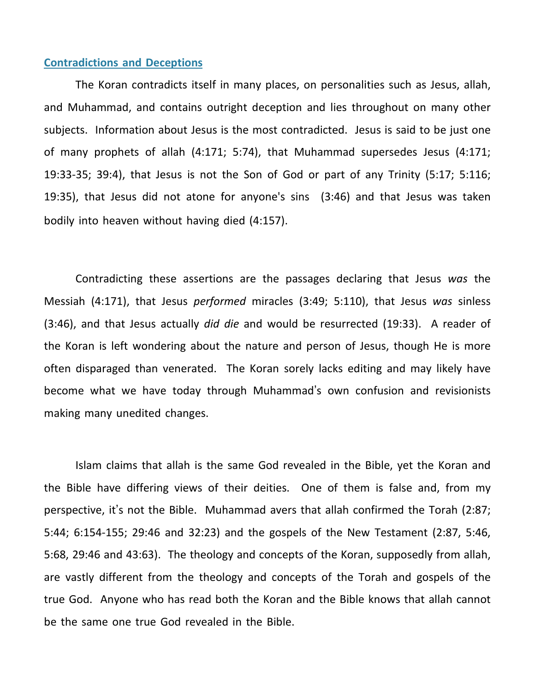### **Contradictions and Deceptions**

The Koran contradicts itself in many places, on personalities such as Jesus, allah, and Muhammad, and contains outright deception and lies throughout on many other subjects. Information about Jesus is the most contradicted. Jesus is said to be just one of many prophets of allah (4:171; 5:74), that Muhammad supersedes Jesus (4:171; 19:33-35; 39:4), that Jesus is not the Son of God or part of any Trinity (5:17; 5:116; 19:35), that Jesus did not atone for anyone's sins (3:46) and that Jesus was taken bodily into heaven without having died (4:157).

Contradicting these assertions are the passages declaring that Jesus *was* the Messiah (4:171), that Jesus *performed* miracles (3:49; 5:110), that Jesus *was* sinless (3:46), and that Jesus actually *did die* and would be resurrected (19:33). A reader of the Koran is left wondering about the nature and person of Jesus, though He is more often disparaged than venerated. The Koran sorely lacks editing and may likely have become what we have today through Muhammad's own confusion and revisionists making many unedited changes.

Islam claims that allah is the same God revealed in the Bible, yet the Koran and the Bible have differing views of their deities. One of them is false and, from my perspective, it's not the Bible. Muhammad avers that allah confirmed the Torah (2:87; 5:44; 6:154-155; 29:46 and 32:23) and the gospels of the New Testament (2:87, 5:46, 5:68, 29:46 and 43:63). The theology and concepts of the Koran, supposedly from allah, are vastly different from the theology and concepts of the Torah and gospels of the true God. Anyone who has read both the Koran and the Bible knows that allah cannot be the same one true God revealed in the Bible.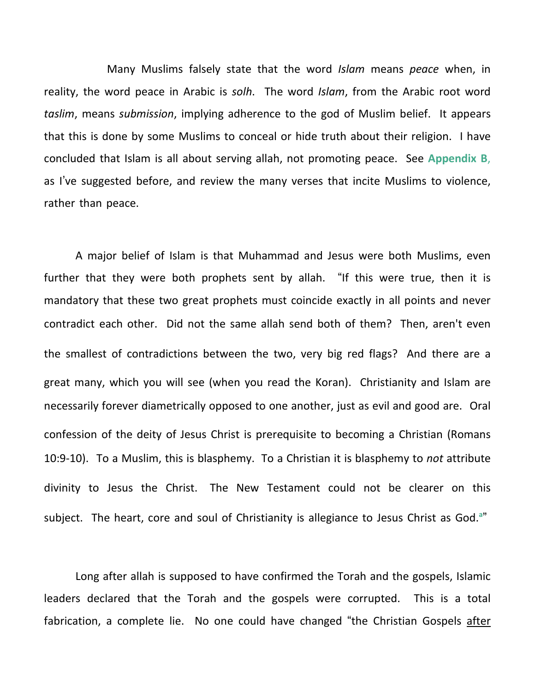Many Muslims falsely state that the word *Islam* means *peace* when, in reality, the word peace in Arabic is *solh*. The word *Islam*, from the Arabic root word *taslim*, means *submission*, implying adherence to the god of Muslim belief. It appears that this is done by some Muslims to conceal or hide truth about their religion. I have concluded that Islam is all about serving allah, not promoting peace. See **Appendix B**, as I've suggested before, and review the many verses that incite Muslims to violence, rather than peace.

A major belief of Islam is that Muhammad and Jesus were both Muslims, even further that they were both prophets sent by allah. "If this were true, then it is mandatory that these two great prophets must coincide exactly in all points and never contradict each other. Did not the same allah send both of them? Then, aren't even the smallest of contradictions between the two, very big red flags? And there are a great many, which you will see (when you read the Koran). Christianity and Islam are necessarily forever diametrically opposed to one another, just as evil and good are. Oral confession of the deity of Jesus Christ is prerequisite to becoming a Christian (Romans 10:9-10). To a Muslim, this is blasphemy. To a Christian it is blasphemy to *not* attribute divinity to Jesus the Christ. The New Testament could not be clearer on this subject. The heart, core and soul of Christianity is allegiance to Jesus Christ as God. **a** "

Long after allah is supposed to have confirmed the Torah and the gospels, Islamic leaders declared that the Torah and the gospels were corrupted. This is a total fabrication, a complete lie. No one could have changed "the Christian Gospels after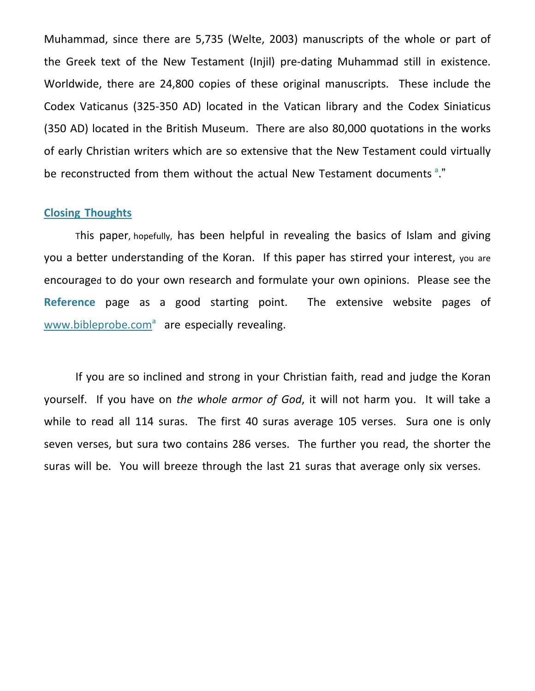Muhammad, since there are 5,735 (Welte, 2003) manuscripts of the whole or part of the Greek text of the New Testament (Injil) pre-dating Muhammad still in existence. Worldwide, there are 24,800 copies of these original manuscripts. These include the Codex Vaticanus (325-350 AD) located in the Vatican library and the Codex Siniaticus (350 AD) located in the British Museum. There are also 80,000 quotations in the works of early Christian writers which are so extensive that the New Testament could virtually be reconstructed from them without the actual New Testament documents **<sup>a</sup>** ."

## **Closing Thoughts**

This paper, hopefully, has been helpful in revealing the basics of Islam and giving you a better understanding of the Koran. If this paper has stirred your interest, you are encouraged to do your own research and formulate your own opinions. Please see the **Reference** page as a good starting point. The extensive website pages of [www.bibleprobe.com](http://www.bibleprobe.com/)**<sup>a</sup>** are especially revealing.

If you are so inclined and strong in your Christian faith, read and judge the Koran yourself. If you have on *the whole armor of God*, it will not harm you. It will take a while to read all 114 suras. The first 40 suras average 105 verses. Sura one is only seven verses, but sura two contains 286 verses. The further you read, the shorter the suras will be. You will breeze through the last 21 suras that average only six verses.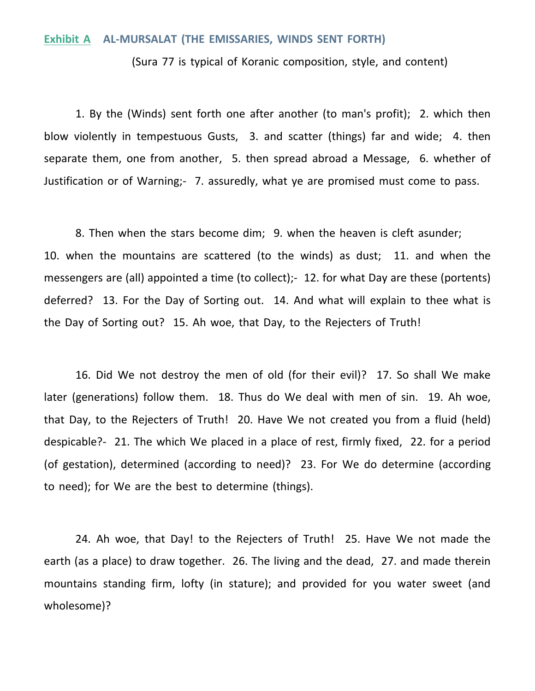### **Exhibit A AL-MURSALAT (THE EMISSARIES, WINDS SENT FORTH)**

(Sura 77 is typical of Koranic composition, style, and content)

1. By the (Winds) sent forth one after another (to man's profit); 2. which then blow violently in tempestuous Gusts, 3. and scatter (things) far and wide; 4. then separate them, one from another, 5. then spread abroad a Message, 6. whether of Justification or of Warning;- 7. assuredly, what ye are promised must come to pass.

8. Then when the stars become dim; 9. when the heaven is cleft asunder; 10. when the mountains are scattered (to the winds) as dust; 11. and when the messengers are (all) appointed a time (to collect);- 12. for what Day are these (portents) deferred? 13. For the Day of Sorting out. 14. And what will explain to thee what is the Day of Sorting out? 15. Ah woe, that Day, to the Rejecters of Truth!

16. Did We not destroy the men of old (for their evil)? 17. So shall We make later (generations) follow them. 18. Thus do We deal with men of sin. 19. Ah woe, that Day, to the Rejecters of Truth! 20. Have We not created you from a fluid (held) despicable?- 21. The which We placed in a place of rest, firmly fixed, 22. for a period (of gestation), determined (according to need)? 23. For We do determine (according to need); for We are the best to determine (things).

24. Ah woe, that Day! to the Rejecters of Truth! 25. Have We not made the earth (as a place) to draw together. 26. The living and the dead, 27. and made therein mountains standing firm, lofty (in stature); and provided for you water sweet (and wholesome)?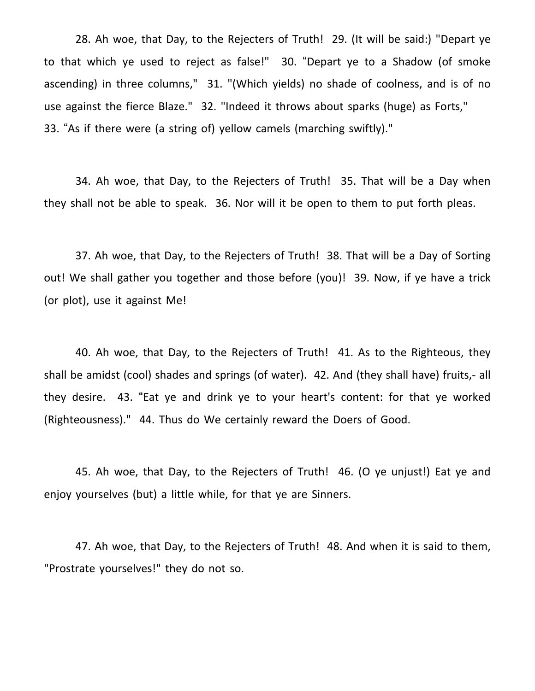28. Ah woe, that Day, to the Rejecters of Truth! 29. (It will be said:) "Depart ye to that which ye used to reject as false!" 30. "Depart ye to a Shadow (of smoke ascending) in three columns," 31. "(Which yields) no shade of coolness, and is of no use against the fierce Blaze." 32. "Indeed it throws about sparks (huge) as Forts," 33. "As if there were (a string of) yellow camels (marching swiftly)."

34. Ah woe, that Day, to the Rejecters of Truth! 35. That will be a Day when they shall not be able to speak. 36. Nor will it be open to them to put forth pleas.

37. Ah woe, that Day, to the Rejecters of Truth! 38. That will be a Day of Sorting out! We shall gather you together and those before (you)! 39. Now, if ye have a trick (or plot), use it against Me!

40. Ah woe, that Day, to the Rejecters of Truth! 41. As to the Righteous, they shall be amidst (cool) shades and springs (of water). 42. And (they shall have) fruits,- all they desire. 43. "Eat ye and drink ye to your heart's content: for that ye worked (Righteousness)." 44. Thus do We certainly reward the Doers of Good.

45. Ah woe, that Day, to the Rejecters of Truth! 46. (O ye unjust!) Eat ye and enjoy yourselves (but) a little while, for that ye are Sinners.

47. Ah woe, that Day, to the Rejecters of Truth! 48. And when it is said to them, "Prostrate yourselves!" they do not so.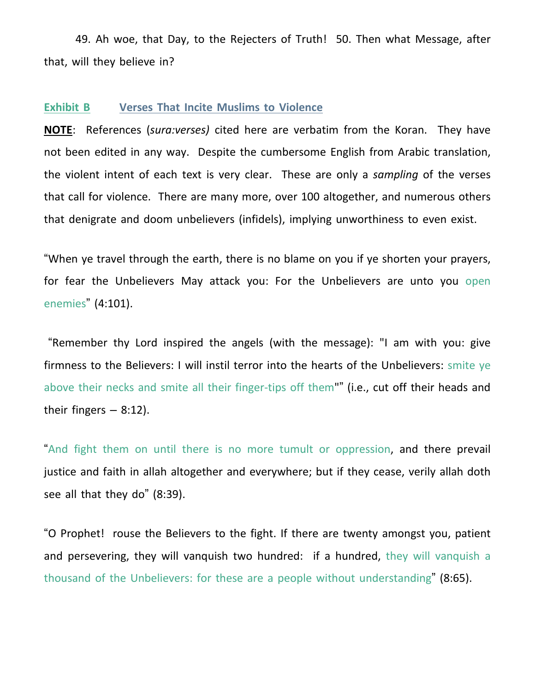49. Ah woe, that Day, to the Rejecters of Truth! 50. Then what Message, after that, will they believe in?

### **Exhibit B Verses That Incite Muslims to Violence**

**NOTE**: References (*sura:verses)* cited here are verbatim from the Koran. They have not been edited in any way. Despite the cumbersome English from Arabic translation, the violent intent of each text is very clear. These are only a *sampling* of the verses that call for violence. There are many more, over 100 altogether, and numerous others that denigrate and doom unbelievers (infidels), implying unworthiness to even exist.

"When ye travel through the earth, there is no blame on you if ye shorten your prayers, for fear the Unbelievers May attack you: For the Unbelievers are unto you open enemies" (4:101).

"Remember thy Lord inspired the angels (with the message): "I am with you: give firmness to the Believers: I will instil terror into the hearts of the Unbelievers: smite ye above their necks and smite all their finger-tips off them"" (i.e., cut off their heads and their fingers  $-8:12$ ).

"And fight them on until there is no more tumult or oppression, and there prevail justice and faith in allah altogether and everywhere; but if they cease, verily allah doth see all that they do" (8:39).

"O Prophet! rouse the Believers to the fight. If there are twenty amongst you, patient and persevering, they will vanquish two hundred: if a hundred, they will vanquish a thousand of the Unbelievers: for these are a people without understanding" (8:65).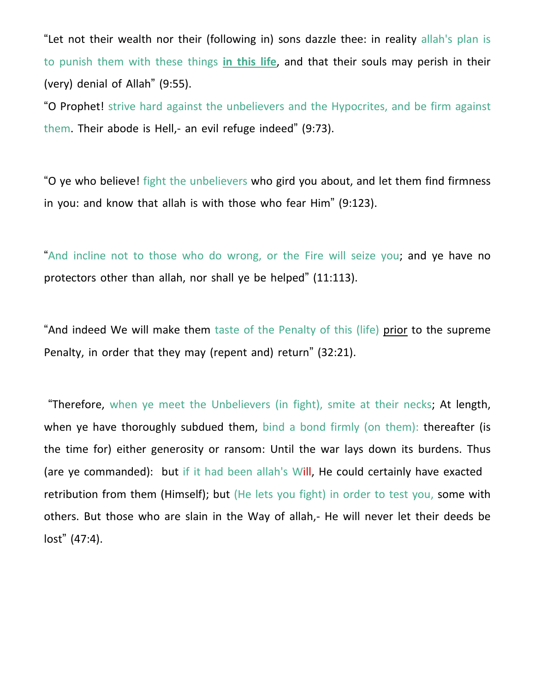"Let not their wealth nor their (following in) sons dazzle thee: in reality allah's plan is to punish them with these things **in this life**, and that their souls may perish in their (very) denial of Allah" (9:55).

"O Prophet! strive hard against the unbelievers and the Hypocrites, and be firm against them. Their abode is Hell,- an evil refuge indeed" (9:73).

"O ye who believe! fight the unbelievers who gird you about, and let them find firmness in you: and know that allah is with those who fear Him" (9:123).

"And incline not to those who do wrong, or the Fire will seize you; and ye have no protectors other than allah, nor shall ye be helped" (11:113).

"And indeed We will make them taste of the Penalty of this (life) prior to the supreme Penalty, in order that they may (repent and) return" (32:21).

"Therefore, when ye meet the Unbelievers (in fight), smite at their necks; At length, when ye have thoroughly subdued them, bind a bond firmly (on them): thereafter (is the time for) either generosity or ransom: Until the war lays down its burdens. Thus (are ye commanded): but if it had been allah's Will, He could certainly have exacted retribution from them (Himself); but (He lets you fight) in order to test you, some with others. But those who are slain in the Way of allah,- He will never let their deeds be lost" (47:4).